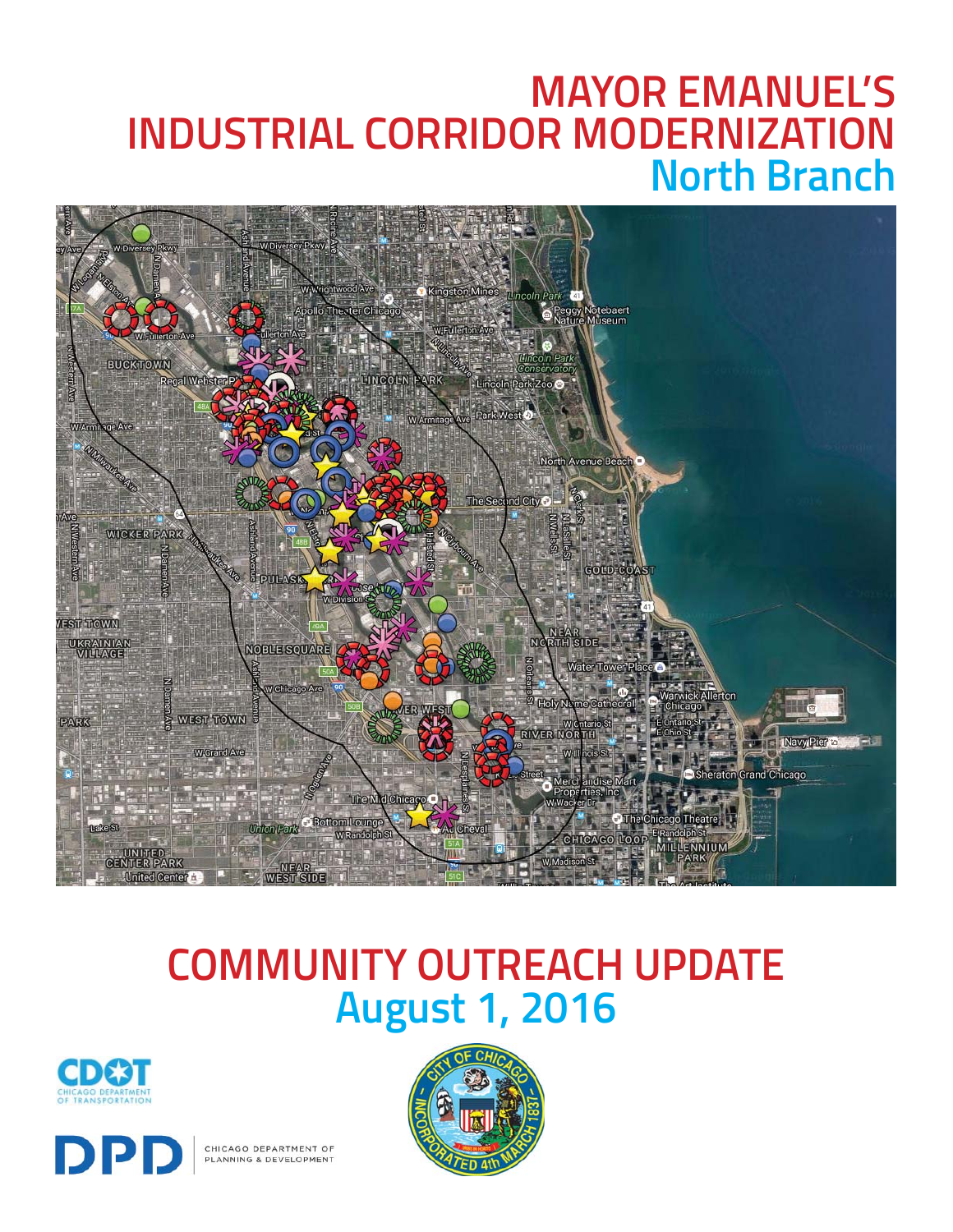## **MAYOR EMANUEL'S INDUSTRIAL CORRIDOR MODERNIZATION North Branch**



# **COMMUNITY OUTREACH UPDATE August 1, 2016**





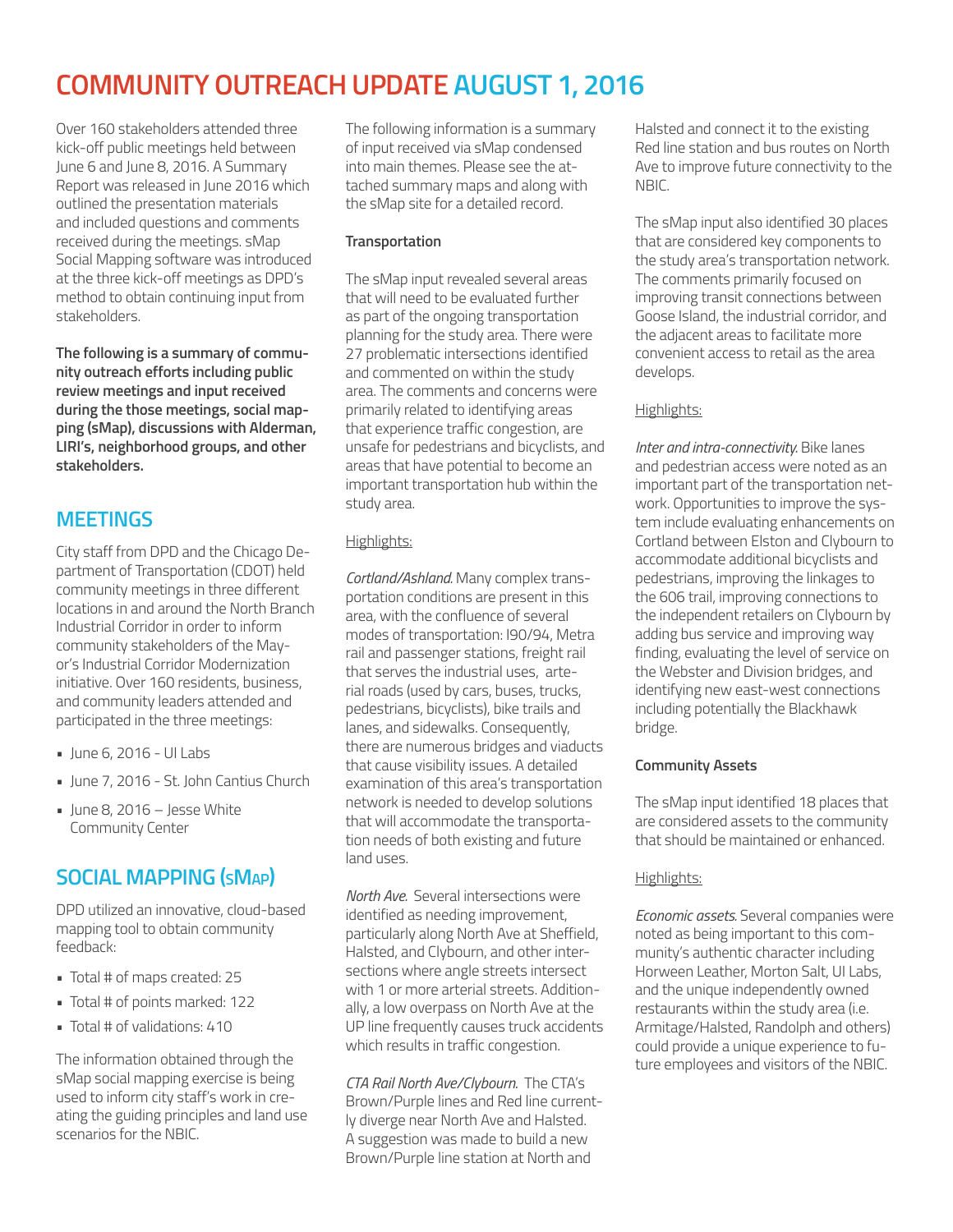## **COMMUNITY OUTREACH UPDATE AUGUST 1, 2016**

Over 160 stakeholders attended three kick-off public meetings held between June 6 and June 8, 2016. A Summary Report was released in June 2016 which outlined the presentation materials and included questions and comments received during the meetings. sMap Social Mapping software was introduced at the three kick-off meetings as DPD's method to obtain continuing input from stakeholders.

**The following is a summary of community outreach efforts including public review meetings and input received during the those meetings, social mapping (sMap), discussions with Alderman, LIRI's, neighborhood groups, and other stakeholders.**

## **MEETINGS**

City staff from DPD and the Chicago Department of Transportation (CDOT) held community meetings in three different locations in and around the North Branch Industrial Corridor in order to inform community stakeholders of the Mayor's Industrial Corridor Modernization initiative. Over 160 residents, business, and community leaders attended and participated in the three meetings:

- June 6, 2016 UI Labs
- June 7, 2016 St. John Cantius Church
- $\blacksquare$  lune 8, 2016 Jesse White Community Center

## **SOCIAL MAPPING (SMAP)**

DPD utilized an innovative, cloud-based mapping tool to obtain community feedback:

- Total # of maps created: 25
- Total # of points marked: 122
- Total # of validations: 410

The information obtained through the sMap social mapping exercise is being used to inform city staff's work in creating the guiding principles and land use scenarios for the NBIC.

The following information is a summary of input received via sMap condensed into main themes. Please see the attached summary maps and along with the sMap site for a detailed record.

#### **Transportation**

The sMap input revealed several areas that will need to be evaluated further as part of the ongoing transportation planning for the study area. There were 27 problematic intersections identified and commented on within the study area. The comments and concerns were primarily related to identifying areas that experience traffic congestion, are unsafe for pedestrians and bicyclists, and areas that have potential to become an important transportation hub within the study area.

#### Highlights:

*Cortland/Ashland.* Many complex transportation conditions are present in this area, with the confluence of several modes of transportation: I90/94, Metra rail and passenger stations, freight rail that serves the industrial uses, arterial roads (used by cars, buses, trucks, pedestrians, bicyclists), bike trails and lanes, and sidewalks. Consequently, there are numerous bridges and viaducts that cause visibility issues. A detailed examination of this area's transportation network is needed to develop solutions that will accommodate the transportation needs of both existing and future land uses.

*North Ave.* Several intersections were identified as needing improvement, particularly along North Ave at Sheffield, Halsted, and Clybourn, and other intersections where angle streets intersect with 1 or more arterial streets. Additionally, a low overpass on North Ave at the UP line frequently causes truck accidents which results in traffic congestion.

*CTA Rail North Ave/Clybourn.* The CTA's Brown/Purple lines and Red line currently diverge near North Ave and Halsted. A suggestion was made to build a new Brown/Purple line station at North and

Halsted and connect it to the existing Red line station and bus routes on North Ave to improve future connectivity to the **NBIC.** 

The sMap input also identified 30 places that are considered key components to the study area's transportation network. The comments primarily focused on improving transit connections between Goose Island, the industrial corridor, and the adjacent areas to facilitate more convenient access to retail as the area develops.

#### Highlights:

*Inter and intra-connectivity.* Bike lanes and pedestrian access were noted as an important part of the transportation network. Opportunities to improve the system include evaluating enhancements on Cortland between Elston and Clybourn to accommodate additional bicyclists and pedestrians, improving the linkages to the 606 trail, improving connections to the independent retailers on Clybourn by adding bus service and improving way finding, evaluating the level of service on the Webster and Division bridges, and identifying new east-west connections including potentially the Blackhawk bridge.

#### **Community Assets**

The sMap input identified 18 places that are considered assets to the community that should be maintained or enhanced.

#### Highlights:

*Economic assets.* Several companies were noted as being important to this community's authentic character including Horween Leather, Morton Salt, UI Labs, and the unique independently owned restaurants within the study area (i.e. Armitage/Halsted, Randolph and others) could provide a unique experience to future employees and visitors of the NBIC.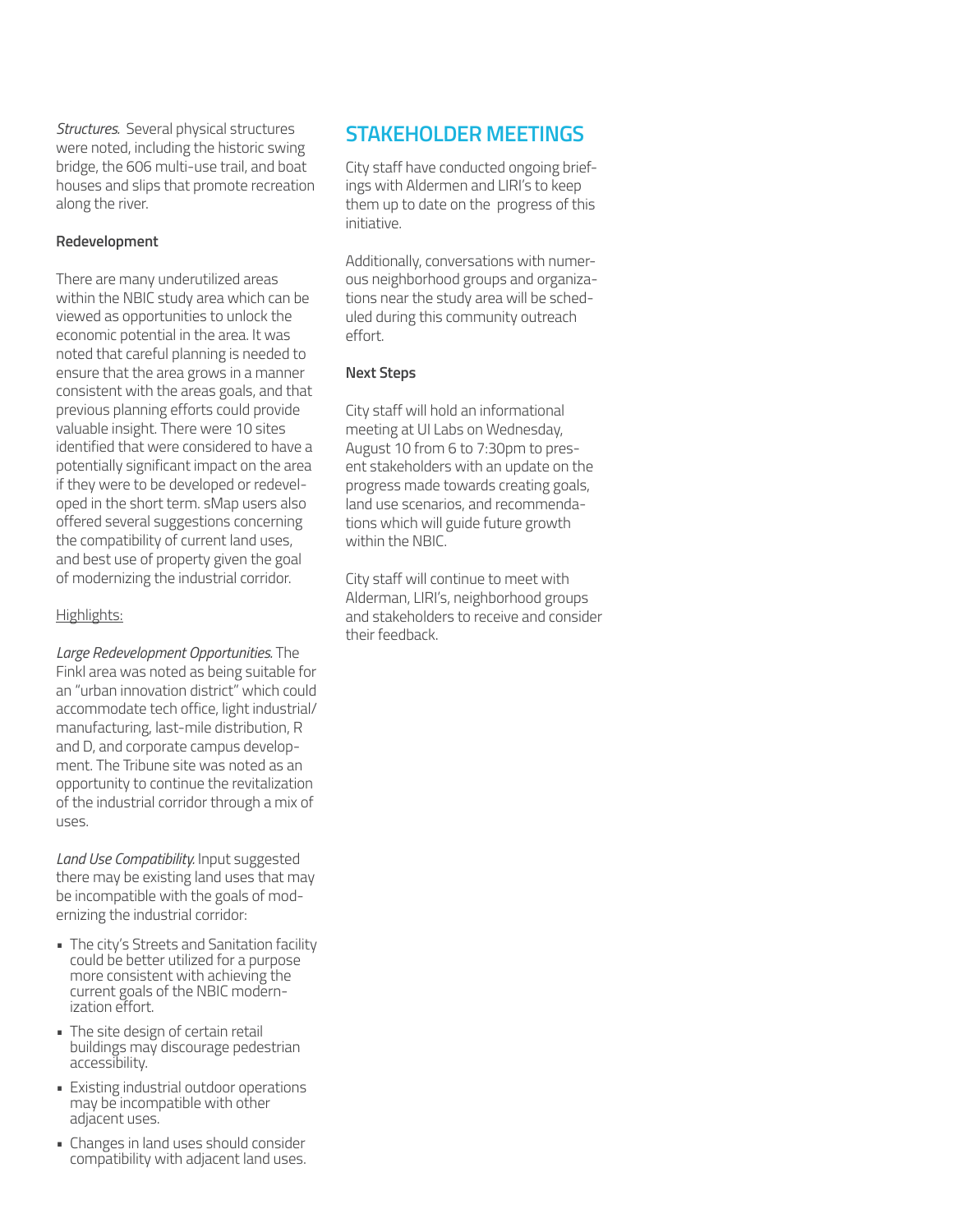*Structures.* Several physical structures were noted, including the historic swing bridge, the 606 multi-use trail, and boat houses and slips that promote recreation along the river.

#### **Redevelopment**

There are many underutilized areas within the NBIC study area which can be viewed as opportunities to unlock the economic potential in the area. It was noted that careful planning is needed to ensure that the area grows in a manner consistent with the areas goals, and that previous planning efforts could provide valuable insight. There were 10 sites identified that were considered to have a potentially significant impact on the area if they were to be developed or redeveloped in the short term. sMap users also offered several suggestions concerning the compatibility of current land uses, and best use of property given the goal of modernizing the industrial corridor.

#### Highlights:

*Large Redevelopment Opportunities.* The Finkl area was noted as being suitable for an "urban innovation district" which could accommodate tech office, light industrial/ manufacturing, last-mile distribution, R and D, and corporate campus development. The Tribune site was noted as an opportunity to continue the revitalization of the industrial corridor through a mix of uses.

*Land Use Compatibility.* Input suggested there may be existing land uses that may be incompatible with the goals of modernizing the industrial corridor:

- The city's Streets and Sanitation facility could be better utilized for a purpose more consistent with achieving the current goals of the NBIC modernization effort.
- The site design of certain retail buildings may discourage pedestrian accessibility.
- Existing industrial outdoor operations may be incompatible with other adjacent uses.
- Changes in land uses should consider compatibility with adjacent land uses.

### **STAKEHOLDER MEETINGS**

City staff have conducted ongoing briefings with Aldermen and LIRI's to keep them up to date on the progress of this initiative.

Additionally, conversations with numerous neighborhood groups and organizations near the study area will be scheduled during this community outreach effort.

#### **Next Steps**

City staff will hold an informational meeting at UI Labs on Wednesday, August 10 from 6 to 7:30pm to present stakeholders with an update on the progress made towards creating goals, land use scenarios, and recommendations which will guide future growth within the NBIC.

City staff will continue to meet with Alderman, LIRI's, neighborhood groups and stakeholders to receive and consider their feedback.